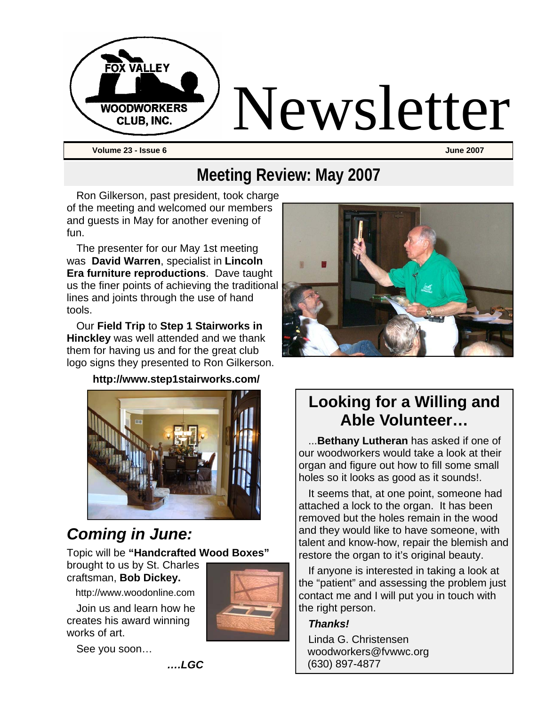

# **Meeting Review: May 2007**

Ron Gilkerson, past president, took charge of the meeting and welcomed our members and guests in May for another evening of fun.

The presenter for our May 1st meeting was **David Warren**, specialist in **Lincoln Era furniture reproductions**. Dave taught us the finer points of achieving the traditional lines and joints through the use of hand tools.

Our **Field Trip** to **Step 1 Stairworks in Hinckley** was well attended and we thank them for having us and for the great club logo signs they presented to Ron Gilkerson.

#### **http://www.step1stairworks.com/**



## *Coming in June:*

Topic will be **"Handcrafted Wood Boxes"**

brought to us by St. Charles craftsman, **Bob Dickey.**

http://www.woodonline.com

Join us and learn how he creates his award winning works of art.



See you soon…



# **Looking for a Willing and Able Volunteer…**

...**Bethany Lutheran** has asked if one of our woodworkers would take a look at their organ and figure out how to fill some small holes so it looks as good as it sounds!.

It seems that, at one point, someone had attached a lock to the organ. It has been removed but the holes remain in the wood and they would like to have someone, with talent and know-how, repair the blemish and restore the organ to it's original beauty.

If anyone is interested in taking a look at the "patient" and assessing the problem just contact me and I will put you in touch with the right person.

#### *Thanks!*

Linda G. Christensen woodworkers@fvwwc.org (630) 897-4877

*….LGC*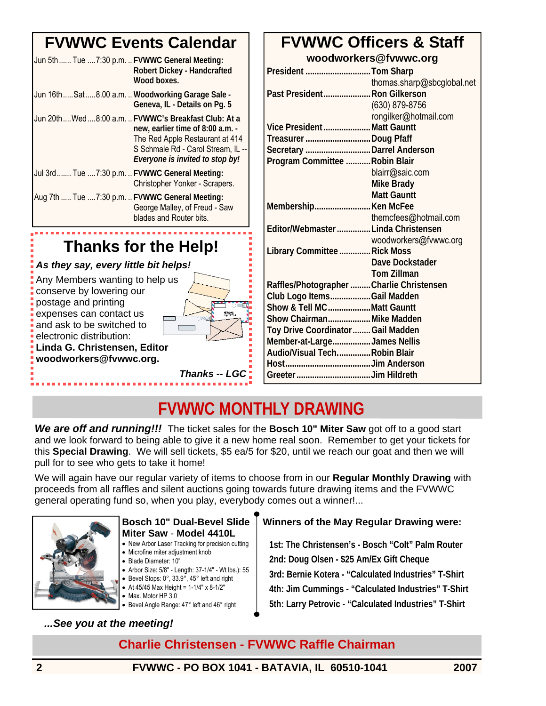# **FVWWC Events Calendar**

| Jun 5th Tue 7:30 p.m.  FVWWC General Meeting:   | Robert Dickey - Handcrafted<br>Wood boxes.                                                                                                                                                         |
|-------------------------------------------------|----------------------------------------------------------------------------------------------------------------------------------------------------------------------------------------------------|
| Jun 16thSat8.00 a.m.  Woodworking Garage Sale - | Geneva, IL - Details on Pq. 5                                                                                                                                                                      |
|                                                 | Jun 20thWed8:00 a.m.  FVWWC's Breakfast Club: At a<br>new, earlier time of 8:00 a.m. -<br>The Red Apple Restaurant at 414<br>S Schmale Rd - Carol Stream, IL --<br>Everyone is invited to stop by! |
| Jul 3rd Tue 7:30 p.m.  FVWWC General Meeting:   | Christopher Yonker - Scrapers.                                                                                                                                                                     |
| Aug 7th  Tue  7:30 p.m.  FVWWC General Meeting: | George Malley, of Freud - Saw<br>blades and Router bits.                                                                                                                                           |
|                                                 |                                                                                                                                                                                                    |

# **Thanks for the Help!**

#### *As they say, every little bit helps!*

Any Members wanting to help us conserve by lowering our postage and printing expenses can contact us and ask to be switched to

**woodworkers@fvwwc.org.** 

electronic distribution:



*Thanks -- LGC* 

#### **FVWWC Officers & Staff woodworkers@fvwwc.org**

| President Tom Sharp                       |                            |
|-------------------------------------------|----------------------------|
|                                           | thomas.sharp@sbcglobal.net |
| Past President Ron Gilkerson              |                            |
|                                           | (630) 879-8756             |
|                                           | rongilker@hotmail.com      |
| Vice PresidentMatt Gauntt                 |                            |
| Treasurer Doug Pfaff                      |                            |
| Secretary  Darrel Anderson                |                            |
| Program Committee  Robin Blair            |                            |
|                                           | blairr@saic.com            |
|                                           | <b>Mike Brady</b>          |
|                                           | <b>Matt Gauntt</b>         |
| Membership Ken McFee                      |                            |
|                                           | themcfees@hotmail.com      |
| Editor/Webmaster  Linda Christensen       |                            |
|                                           | woodworkers@fvwwc.org      |
| Library Committee  Rick Moss              |                            |
|                                           | Dave Dockstader            |
|                                           | <b>Tom Zillman</b>         |
| Raffles/Photographer  Charlie Christensen |                            |
| Club Logo ItemsGail Madden                |                            |
| Show & Tell MCMatt Gauntt                 |                            |
| Show ChairmanMike Madden                  |                            |
| Toy Drive Coordinator  Gail Madden        |                            |
| Member-at-LargeJames Nellis               |                            |
| Audio/Visual TechRobin Blair              |                            |
|                                           |                            |
|                                           |                            |

# **FVWWC MONTHLY DRAWING**

*We are off and running!!!* The ticket sales for the **Bosch 10" Miter Saw** got off to a good start and we look forward to being able to give it a new home real soon. Remember to get your tickets for this **Special Drawing**. We will sell tickets, \$5 ea/5 for \$20, until we reach our goat and then we will pull for to see who gets to take it home!

We will again have our regular variety of items to choose from in our **Regular Monthly Drawing** with proceeds from all raffles and silent auctions going towards future drawing items and the FVWWC general operating fund so, when you play, everybody comes out a winner!...



#### **Bosch 10" Dual-Bevel Slide Miter Saw** - **Model 4410L**

- New Arbor Laser Tracking for precision cutting
- Microfine miter adjustment knob
- Blade Diameter: 10″
- Arbor Size: 5/8″ Length: 37-1/4″ Wt lbs.): 55 • Bevel Stops: 0°, 33.9°, 45° left and right
- At 45/45 Max Height =  $1-1/4$ " x 8-1/2"
- Max. Motor HP 3.0
- Bevel Angle Range: 47° left and 46° right

#### *...See you at the meeting!*

#### **Winners of the May Regular Drawing were:**

**1st: The Christensen's - Bosch "Colt" Palm Router 2nd: Doug Olsen - \$25 Am/Ex Gift Cheque 3rd: Bernie Kotera - "Calculated Industries" T-Shirt 4th: Jim Cummings - "Calculated Industries" T-Shirt 5th: Larry Petrovic - "Calculated Industries" T-Shirt**

#### **Charlie Christensen - FVWWC Raffle Chairman**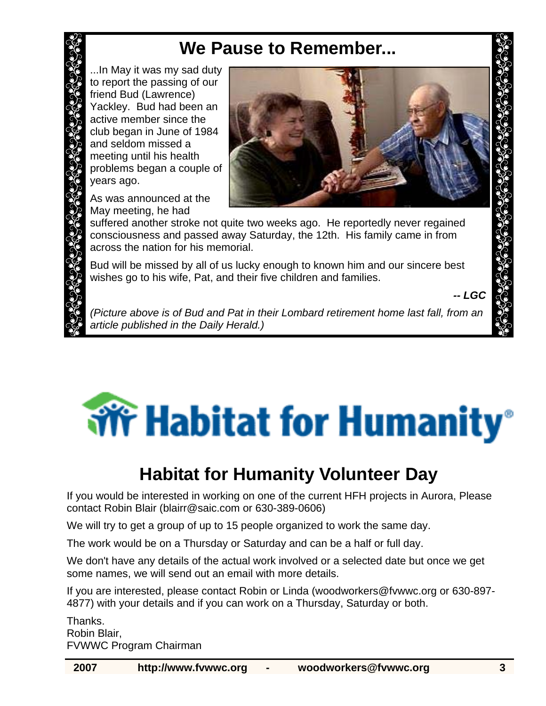# **We Pause to Remember...**

...In May it was my sad duty to report the passing of our friend Bud (Lawrence) Yackley. Bud had been an active member since the club began in June of 1984 and seldom missed a meeting until his health problems began a couple of years ago.

As was announced at the May meeting, he had



suffered another stroke not quite two weeks ago. He reportedly never regained consciousness and passed away Saturday, the 12th. His family came in from across the nation for his memorial.

Bud will be missed by all of us lucky enough to known him and our sincere best wishes go to his wife, Pat, and their five children and families.

*-- LGC* 

*(Picture above is of Bud and Pat in their Lombard retirement home last fall, from an article published in the Daily Herald.)* 

# **Write** Habitat for Humanity<sup>®</sup>

# **Habitat for Humanity Volunteer Day**

If you would be interested in working on one of the current HFH projects in Aurora, Please contact Robin Blair (blairr@saic.com or 630-389-0606)

We will try to get a group of up to 15 people organized to work the same day.

The work would be on a Thursday or Saturday and can be a half or full day.

We don't have any details of the actual work involved or a selected date but once we get some names, we will send out an email with more details.

If you are interested, please contact Robin or Linda (woodworkers@fvwwc.org or 630-897- 4877) with your details and if you can work on a Thursday, Saturday or both.

Thanks. Robin Blair, FVWWC Program Chairman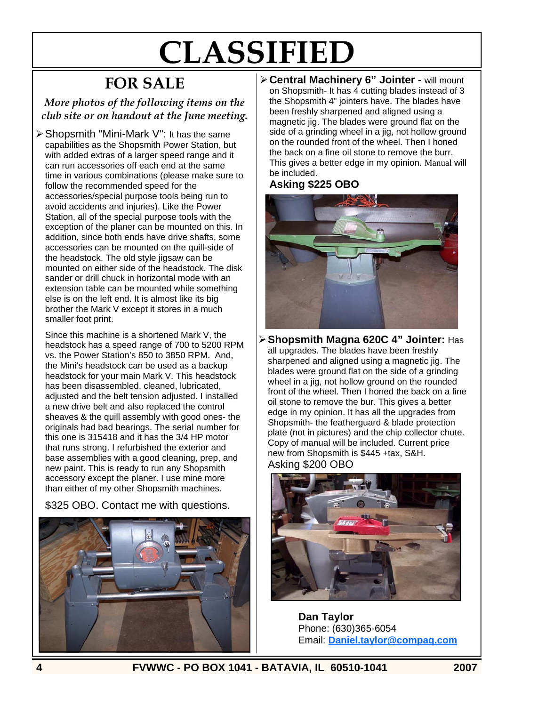# **CLASSIFIED**

# **FOR SALE**

*More photos of the following items on the club site or on handout at the June meeting.* 

¾ Shopsmith "Mini-Mark V": It has the same capabilities as the Shopsmith Power Station, but with added extras of a larger speed range and it can run accessories off each end at the same time in various combinations (please make sure to follow the recommended speed for the accessories/special purpose tools being run to avoid accidents and injuries). Like the Power Station, all of the special purpose tools with the exception of the planer can be mounted on this. In addition, since both ends have drive shafts, some accessories can be mounted on the quill-side of the headstock. The old style jigsaw can be mounted on either side of the headstock. The disk sander or drill chuck in horizontal mode with an extension table can be mounted while something else is on the left end. It is almost like its big brother the Mark V except it stores in a much smaller foot print.

Since this machine is a shortened Mark V, the headstock has a speed range of 700 to 5200 RPM vs. the Power Station's 850 to 3850 RPM. And, the Mini's headstock can be used as a backup headstock for your main Mark V. This headstock has been disassembled, cleaned, lubricated, adjusted and the belt tension adjusted. I installed a new drive belt and also replaced the control sheaves & the quill assembly with good ones- the originals had bad bearings. The serial number for this one is 315418 and it has the 3/4 HP motor that runs strong. I refurbished the exterior and base assemblies with a good cleaning, prep, and new paint. This is ready to run any Shopsmith accessory except the planer. I use mine more than either of my other Shopsmith machines.

\$325 OBO. Contact me with questions.



¾ **Central Machinery 6" Jointer** - will mount on Shopsmith- It has 4 cutting blades instead of 3 the Shopsmith 4" jointers have. The blades have been freshly sharpened and aligned using a magnetic jig. The blades were ground flat on the side of a grinding wheel in a jig, not hollow ground on the rounded front of the wheel. Then I honed the back on a fine oil stone to remove the burr. This gives a better edge in my opinion. Manual will be included.

#### **Asking \$225 OBO**



¾ **Shopsmith Magna 620C 4" Jointer:** Has all upgrades. The blades have been freshly sharpened and aligned using a magnetic jig. The blades were ground flat on the side of a grinding wheel in a jig, not hollow ground on the rounded front of the wheel. Then I honed the back on a fine oil stone to remove the bur. This gives a better edge in my opinion. It has all the upgrades from Shopsmith- the featherguard & blade protection plate (not in pictures) and the chip collector chute. Copy of manual will be included. Current price new from Shopsmith is \$445 +tax, S&H. Asking \$200 OBO



**Dan Taylor** Phone: (630)365-6054 Email: **Daniel.taylor@compaq.com** 

**4 FVWWC - PO BOX 1041 - BATAVIA, IL 60510-1041 2007**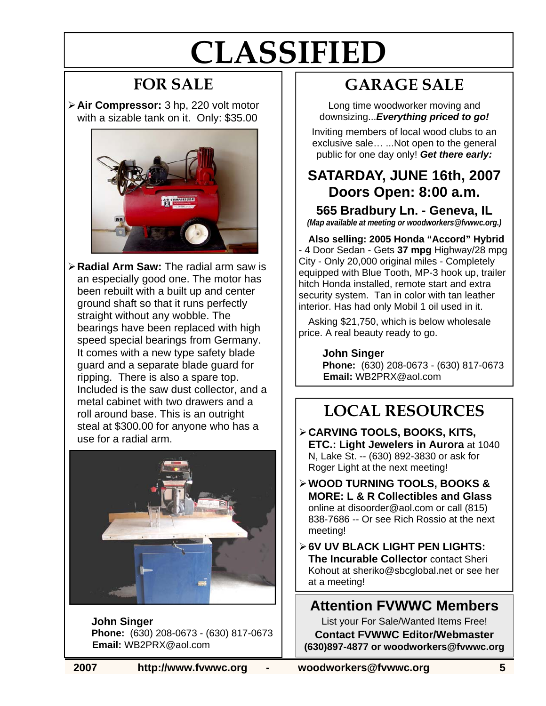# **CLASSIFIED**

# **FOR SALE**

¾ **Air Compressor:** 3 hp, 220 volt motor with a sizable tank on it. Only: \$35.00



¾ **Radial Arm Saw:** The radial arm saw is an especially good one. The motor has been rebuilt with a built up and center ground shaft so that it runs perfectly straight without any wobble. The bearings have been replaced with high speed special bearings from Germany. It comes with a new type safety blade guard and a separate blade guard for ripping. There is also a spare top. Included is the saw dust collector, and a metal cabinet with two drawers and a roll around base. This is an outright steal at \$300.00 for anyone who has a use for a radial arm.



 **John Singer Phone:** (630) 208-0673 - (630) 817-0673 **Email:** WB2PRX@aol.com

# **GARAGE SALE**

Long time woodworker moving and downsizing...*Everything priced to go!*

Inviting members of local wood clubs to an exclusive sale… ...Not open to the general public for one day only! *Get there early:* 

#### **SATARDAY, JUNE 16th, 2007 Doors Open: 8:00 a.m.**

**565 Bradbury Ln. - Geneva, IL**  *(Map available at meeting or woodworkers@fvwwc.org.)*

**Also selling: 2005 Honda "Accord" Hybrid**  - 4 Door Sedan - Gets **37 mpg** Highway/28 mpg City - Only 20,000 original miles - Completely equipped with Blue Tooth, MP-3 hook up, trailer hitch Honda installed, remote start and extra security system. Tan in color with tan leather interior. Has had only Mobil 1 oil used in it.

Asking \$21,750, which is below wholesale price. A real beauty ready to go.

> **John Singer Phone:** (630) 208-0673 - (630) 817-0673 **Email:** WB2PRX@aol.com

# **LOCAL RESOURCES**

- ¾ **CARVING TOOLS, BOOKS, KITS, ETC.: Light Jewelers in Aurora** at 1040 N, Lake St. -- (630) 892-3830 or ask for Roger Light at the next meeting!
- ¾ **WOOD TURNING TOOLS, BOOKS & MORE: L & R Collectibles and Glass**  online at disoorder@aol.com or call (815) 838-7686 -- Or see Rich Rossio at the next meeting!
- ¾ **6V UV BLACK LIGHT PEN LIGHTS: The Incurable Collector** contact Sheri Kohout at sheriko@sbcglobal.net or see her at a meeting!

#### **Attention FVWWC Members**

List your For Sale/Wanted Items Free! **Contact FVWWC Editor/Webmaster (630)897-4877 or woodworkers@fvwwc.org**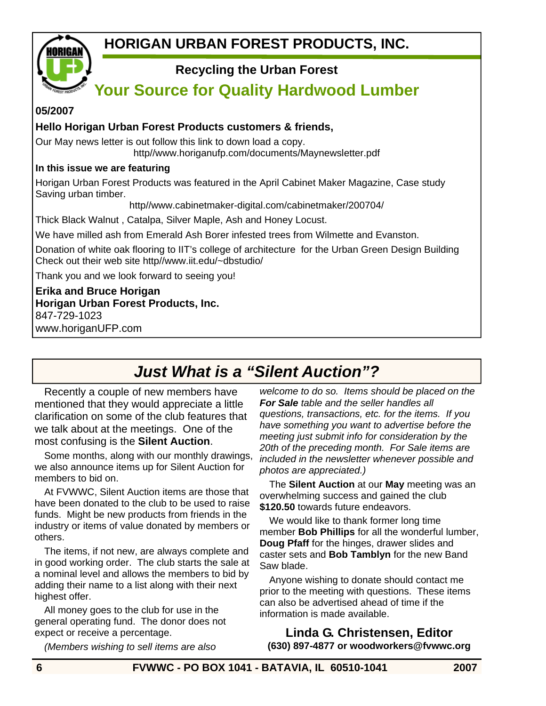

#### **Recycling the Urban Forest**

### **Your Source for Quality Hardwood Lumber**

#### **05/2007**

#### **Hello Horigan Urban Forest Products customers & friends,**

Our May news letter is out follow this link to down load a copy. http//www.horiganufp.com/documents/Maynewsletter.pdf

#### **In this issue we are featuring**

Horigan Urban Forest Products was featured in the April Cabinet Maker Magazine, Case study Saving urban timber.

http//www.cabinetmaker-digital.com/cabinetmaker/200704/

Thick Black Walnut , Catalpa, Silver Maple, Ash and Honey Locust.

We have milled ash from Emerald Ash Borer infested trees from Wilmette and Evanston.

Donation of white oak flooring to IIT's college of architecture for the Urban Green Design Building Check out their web site http//www.iit.edu/~dbstudio/

Thank you and we look forward to seeing you!

**Erika and Bruce Horigan Horigan Urban Forest Products, Inc.**  847-729-1023 www.horiganUFP.com

## *Just What is a "Silent Auction"?*

Recently a couple of new members have mentioned that they would appreciate a little clarification on some of the club features that we talk about at the meetings. One of the most confusing is the **Silent Auction**.

Some months, along with our monthly drawings, we also announce items up for Silent Auction for members to bid on.

At FVWWC, Silent Auction items are those that have been donated to the club to be used to raise funds. Might be new products from friends in the industry or items of value donated by members or others.

The items, if not new, are always complete and in good working order. The club starts the sale at a nominal level and allows the members to bid by adding their name to a list along with their next highest offer.

All money goes to the club for use in the general operating fund. The donor does not expect or receive a percentage.

*(Members wishing to sell items are also* 

*welcome to do so. Items should be placed on the For Sale table and the seller handles all questions, transactions, etc. for the items. If you have something you want to advertise before the meeting just submit info for consideration by the 20th of the preceding month. For Sale items are included in the newsletter whenever possible and photos are appreciated.)* 

The **Silent Auction** at our **May** meeting was an overwhelming success and gained the club **\$120.50** towards future endeavors.

We would like to thank former long time member **Bob Phillips** for all the wonderful lumber, **Doug Pfaff** for the hinges, drawer slides and caster sets and **Bob Tamblyn** for the new Band Saw blade.

Anyone wishing to donate should contact me prior to the meeting with questions. These items can also be advertised ahead of time if the information is made available.

**Linda G. Christensen, Editor (630) 897-4877 or woodworkers@fvwwc.org**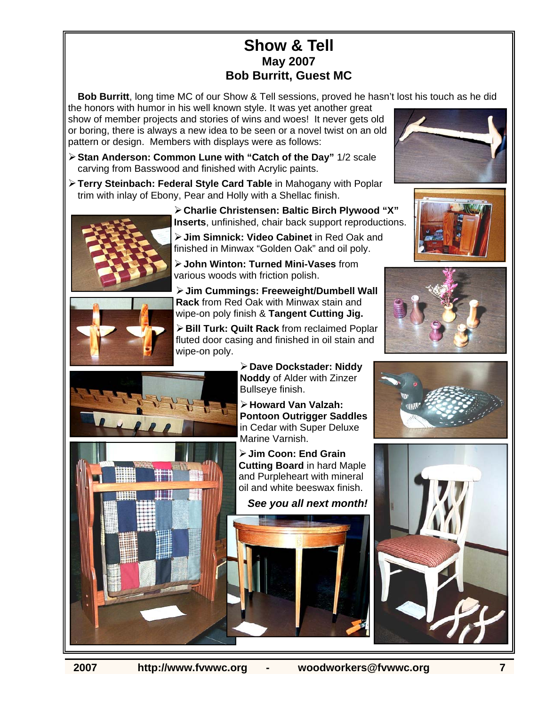#### **Show & Tell May 2007 Bob Burritt, Guest MC**

**Bob Burritt**, long time MC of our Show & Tell sessions, proved he hasn't lost his touch as he did

the honors with humor in his well known style. It was yet another great show of member projects and stories of wins and woes! It never gets old or boring, there is always a new idea to be seen or a novel twist on an old pattern or design. Members with displays were as follows:

- ¾ **Stan Anderson: Common Lune with "Catch of the Day"** 1/2 scale carving from Basswood and finished with Acrylic paints.
- ¾ **Terry Steinbach: Federal Style Card Table** in Mahogany with Poplar trim with inlay of Ebony, Pear and Holly with a Shellac finish.



¾ **Charlie Christensen: Baltic Birch Plywood "X" Inserts**, unfinished, chair back support reproductions.

¾ **Jim Simnick: Video Cabinet** in Red Oak and finished in Minwax "Golden Oak" and oil poly.

¾ **John Winton: Turned Mini-Vases** from various woods with friction polish.

¾ **Jim Cummings: Freeweight/Dumbell Wall Rack** from Red Oak with Minwax stain and wipe-on poly finish & **Tangent Cutting Jig.** 

¾ **Bill Turk: Quilt Rack** from reclaimed Poplar fluted door casing and finished in oil stain and wipe-on poly.

> ¾ **Dave Dockstader: Niddy Noddy** of Alder with Zinzer Bullseye finish.

¾ **Howard Van Valzah: Pontoon Outrigger Saddles** in Cedar with Super Deluxe Marine Varnish.

¾ **Jim Coon: End Grain Cutting Board** in hard Maple and Purpleheart with mineral oil and white beeswax finish.